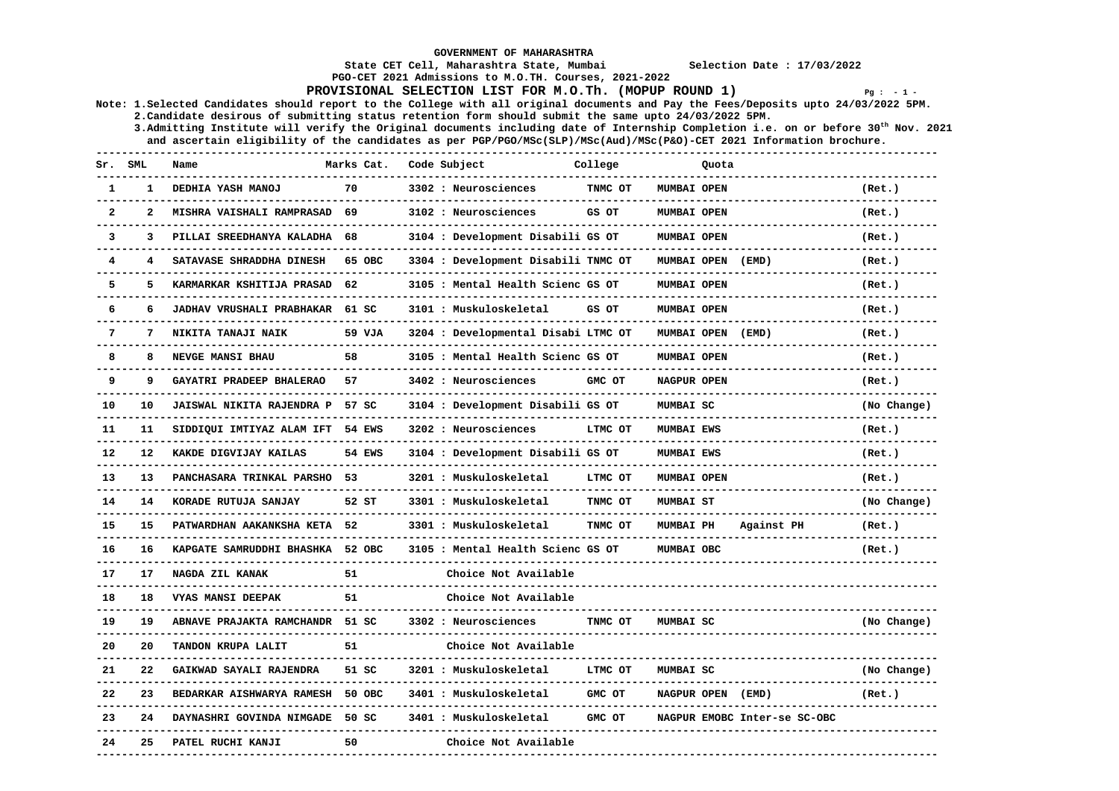**GOVERNMENT OF MAHARASHTRA** 

 **State CET Cell, Maharashtra State, Mumbai Selection Date : 17/03/2022** 

 **PGO-CET 2021 Admissions to M.O.TH. Courses, 2021-2022** 

**PROVISIONAL SELECTION LIST FOR M.O.Th. (MOPUP ROUND 1)**  $Pq : -1 -$ 

**Note: 1.Selected Candidates should report to the College with all original documents and Pay the Fees/Deposits upto 24/03/2022 5PM. 2.Candidate desirous of submitting status retention form should submit the same upto 24/03/2022 5PM.** 

 **3.Admitting Institute will verify the Original documents including date of Internship Completion i.e. on or before 30th Nov. 2021 and ascertain eligibility of the candidates as per PGP/PGO/MSc(SLP)/MSc(Aud)/MSc(P&O)-CET 2021 Information brochure.** 

| Sr.              | <b>SML</b>   | Name                             | Marks Cat.    | Code Subject                        | College | Quota              |                              |             |
|------------------|--------------|----------------------------------|---------------|-------------------------------------|---------|--------------------|------------------------------|-------------|
| 1                | $\mathbf{1}$ | DEDHIA YASH MANOJ                | 70            | 3302 : Neurosciences                | TNMC OT | MUMBAI OPEN        |                              | (Ret.)      |
| $\boldsymbol{2}$ | $\mathbf{z}$ | MISHRA VAISHALI RAMPRASAD        | 69            | 3102 : Neurosciences                | GS OT   | MUMBAI OPEN        |                              | (Ret.)      |
| 3                | 3            | PILLAI SREEDHANYA KALADHA        | 68            | 3104 : Development Disabili GS OT   |         | MUMBAI OPEN        |                              | (Ret.)      |
| 4                | 4            | SATAVASE SHRADDHA DINESH         | 65 OBC        | 3304 : Development Disabili TNMC OT |         | MUMBAI OPEN        | (EMD)                        | (Ret.)      |
| 5                | 5            | KARMARKAR KSHITIJA PRASAD        | 62            | 3105 : Mental Health Scienc GS OT   |         | MUMBAI OPEN        |                              | (Ret.)      |
| 6                | 6            | <b>JADHAV VRUSHALI PRABHAKAR</b> | 61 SC         | 3101 : Muskuloskeletal              | GS OT   | <b>MUMBAI OPEN</b> |                              | (Ret.)      |
| 7                | 7            | NIKITA TANAJI NAIK               | 59 VJA        | 3204 : Developmental Disabi LTMC OT |         | <b>MUMBAI OPEN</b> | (EMD)                        | (Ret.)      |
| 8                | 8            | NEVGE MANSI BHAU                 | 58            | 3105 : Mental Health Scienc GS OT   |         | <b>MUMBAI OPEN</b> |                              | (Ret.)      |
| 9                | 9            | GAYATRI PRADEEP BHALERAO         | 57            | 3402 : Neurosciences                | GMC OT  | NAGPUR OPEN        |                              | (Ret.)      |
| 10               | 10           | JAISWAL NIKITA RAJENDRA P 57 SC  |               | 3104 : Development Disabili GS OT   |         | MUMBAI SC          |                              | (No Change) |
| 11               | 11           | SIDDIQUI IMTIYAZ ALAM IFT 54 EWS |               | 3202 : Neurosciences                | LTMC OT | <b>MUMBAI EWS</b>  |                              | (Ret.)      |
| 12               | 12           | KAKDE DIGVIJAY KAILAS            | <b>54 EWS</b> | 3104 : Development Disabili GS OT   |         | <b>MUMBAI EWS</b>  |                              | (Ret.)      |
| 13               | 13           | <b>PANCHASARA TRINKAL PARSHO</b> | 53            | 3201 : Muskuloskeletal              | LTMC OT | <b>MUMBAI OPEN</b> |                              | (Ret.)      |
| 14               | 14           | KORADE RUTUJA SANJAY             | 52 ST         | 3301 : Muskuloskeletal              | TNMC OT | <b>MUMBAI ST</b>   |                              | (No Change) |
| 15               | 15           | PATWARDHAN AAKANKSHA KETA 52     |               | 3301 : Muskuloskeletal              | TNMC OT | <b>MUMBAI PH</b>   | Against PH                   | (Ret.)      |
| 16               | 16           | KAPGATE SAMRUDDHI BHASHKA 52 OBC |               | 3105 : Mental Health Scienc GS OT   |         | MUMBAI OBC         |                              | (Ret.)      |
| 17               | 17           | NAGDA ZIL KANAK                  | 51            | Choice Not Available                |         |                    |                              |             |
| 18               | 18           | VYAS MANSI DEEPAK                | 51            | Choice Not Available                |         |                    |                              |             |
| 19               | 19           | ABNAVE PRAJAKTA RAMCHANDR        | 51 SC         | 3302 : Neurosciences                | TNMC OT | MUMBAI SC          |                              | (No Change) |
| 20               | 20           | TANDON KRUPA LALIT               | 51            | Choice Not Available                |         |                    |                              |             |
| 21               | 22           | GAIKWAD SAYALI RAJENDRA          | 51 SC         | 3201 : Muskuloskeletal              | LTMC OT | MUMBAI SC          |                              | (No Change) |
| 22               | 23           | BEDARKAR AISHWARYA RAMESH        | 50 OBC        | 3401 : Muskuloskeletal              | GMC OT  | <b>NAGPUR OPEN</b> | (EMD)                        | (Ret.)      |
| 23               | 24           | DAYNASHRI GOVINDA NIMGADE        | 50 SC         | 3401 : Muskuloskeletal              | GMC OT  |                    | NAGPUR EMOBC Inter-se SC-OBC |             |
| 24               | 25           | PATEL RUCHI KANJI                | 50            | Choice Not Available                |         |                    |                              |             |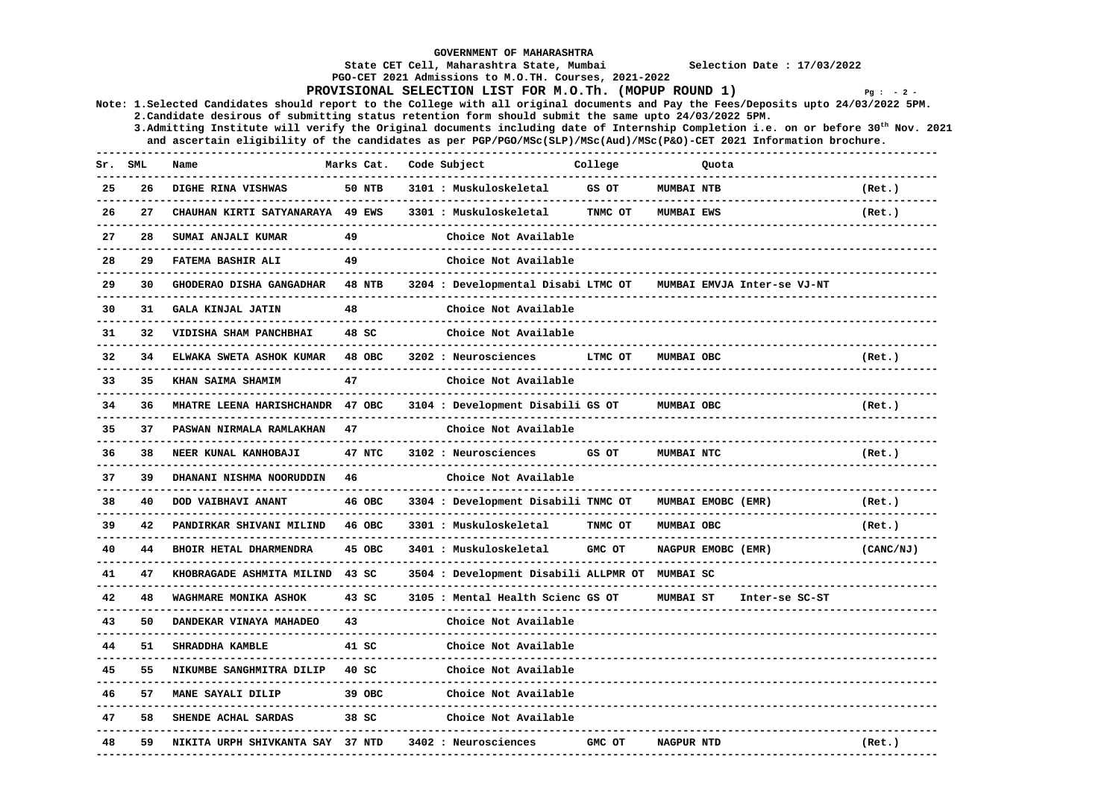**GOVERNMENT OF MAHARASHTRA State CET Cell, Maharashtra State, Mumbai Selection Date : 17/03/2022 PGO-CET 2021 Admissions to M.O.TH. Courses, 2021-2022 PROVISIONAL SELECTION LIST FOR M.O.Th. (MOPUP ROUND 1) Pg : - 2 - Note: 1.Selected Candidates should report to the College with all original documents and Pay the Fees/Deposits upto 24/03/2022 5PM. 2.Candidate desirous of submitting status retention form should submit the same upto 24/03/2022 5PM. 3.Admitting Institute will verify the Original documents including date of Internship Completion i.e. on or before 30th Nov. 2021 and ascertain eligibility of the candidates as per PGP/PGO/MSc(SLP)/MSc(Aud)/MSc(P&O)-CET 2021 Information brochure. ------------------------------------------------------------------------------------------------------------------------------------** Sr. SML Name **Marks Cat. Code Subject** College Quota **Quota ------------------------------------------------------------------------------------------------------------------------------------ 25 26 DIGHE RINA VISHWAS 50 NTB 3101 : Muskuloskeletal GS OT MUMBAI NTB (Ret.) ------------------------------------------------------------------------------------------------------------------------------------ 26 27 CHAUHAN KIRTI SATYANARAYA 49 EWS 3301 : Muskuloskeletal TNMC OT MUMBAI EWS (Ret.) ------------------------------------------------------------------------------------------------------------------------------------ 27 28 SUMAI ANJALI KUMAR 49 Choice Not Available ------------------------------------------------------------------------------------------------------------------------------------ 28 29 FATEMA BASHIR ALI 49 Choice Not Available ------------------------------------------------------------------------------------------------------------------------------------ 29 30 GHODERAO DISHA GANGADHAR 48 NTB 3204 : Developmental Disabi LTMC OT MUMBAI EMVJA Inter-se VJ-NT ------------------------------------------------------------------------------------------------------------------------------------ 30 31 GALA KINJAL JATIN 48 Choice Not Available ------------------------------------------------------------------------------------------------------------------------------------ 31 32 VIDISHA SHAM PANCHBHAI 48 SC Choice Not Available ------------------------------------------------------------------------------------------------------------------------------------ 32 34 ELWAKA SWETA ASHOK KUMAR 48 OBC 3202 : Neurosciences LTMC OT MUMBAI OBC (Ret.) ------------------------------------------------------------------------------------------------------------------------------------ 33 35 KHAN SAIMA SHAMIM 47 Choice Not Available ------------------------------------------------------------------------------------------------------------------------------------ 34 36 MHATRE LEENA HARISHCHANDR 47 OBC 3104 : Development Disabili GS OT MUMBAI OBC (Ret.) ------------------------------------------------------------------------------------------------------------------------------------ 35 37 PASWAN NIRMALA RAMLAKHAN 47 Choice Not Available ------------------------------------------------------------------------------------------------------------------------------------ 36 38 NEER KUNAL KANHOBAJI 47 NTC 3102 : Neurosciences GS OT MUMBAI NTC (Ret.) ------------------------------------------------------------------------------------------------------------------------------------ 37 39 DHANANI NISHMA NOORUDDIN 46 Choice Not Available**  $-1\leq i\leq n-1$  **38 40 DOD VAIBHAVI ANANT 46 OBC 3304 : Development Disabili TNMC OT MUMBAI EMOBC (EMR) (Ret.) ------------------------------------------------------------------------------------------------------------------------------------ 39 42 PANDIRKAR SHIVANI MILIND 46 OBC 3301 : Muskuloskeletal TNMC OT MUMBAI OBC (Ret.) ------------------------------------------------------------------------------------------------------------------------------------ 40 44 BHOIR HETAL DHARMENDRA 45 OBC 3401 : Muskuloskeletal GMC OT NAGPUR EMOBC (EMR) (CANC/NJ) ------------------------------------------------------------------------------------------------------------------------------------ 41 47 KHOBRAGADE ASHMITA MILIND 43 SC 3504 : Development Disabili ALLPMR OT MUMBAI SC ------------------------------------------------------------------------------------------------------------------------------------ 42 48 WAGHMARE MONIKA ASHOK 43 SC 3105 : Mental Health Scienc GS OT MUMBAI ST Inter-se SC-ST ------------------------------------------------------------------------------------------------------------------------------------ 43 50 DANDEKAR VINAYA MAHADEO 43 Choice Not Available ------------------------------------------------------------------------------------------------------------------------------------ 44 51 SHRADDHA KAMBLE 41 SC Choice Not Available ------------------------------------------------------------------------------------------------------------------------------------ 45 55 NIKUMBE SANGHMITRA DILIP 40 SC Choice Not Available ------------------------------------------------------------------------------------------------------------------------------------ 46 57 MANE SAYALI DILIP 39 OBC Choice Not Available** Choice Not Available **------------------------------------------------------------------------------------------------------------------------------------ 47 58 SHENDE ACHAL SARDAS 38 SC Choice Not Available ------------------------------------------------------------------------------------------------------------------------------------ 48 59 NIKITA URPH SHIVKANTA SAY 37 NTD 3402 : Neurosciences GMC OT NAGPUR NTD (Ret.) ------------------------------------------------------------------------------------------------------------------------------------**